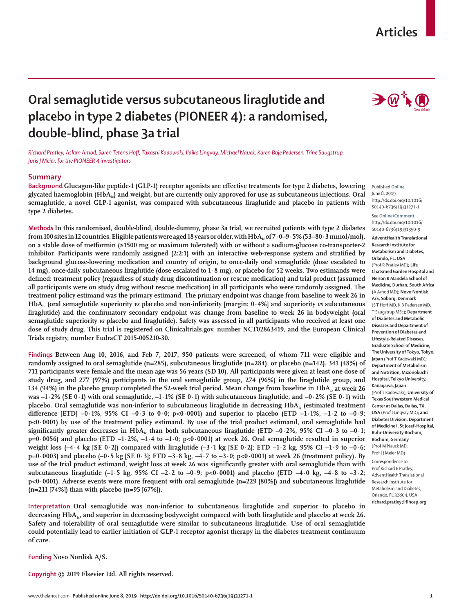## **Articles**

# **Oral semaglutide versus subcutaneous liraglutide and placebo in type 2 diabetes (PIONEER 4): a randomised, double-blind, phase 3a trial**

*Richard Pratley, Aslam Amod, Søren Tetens Hoff, Takashi Kadowaki, Ildiko Lingvay, Michael Nauck, Karen Boje Pedersen, Trine Saugstrup, Juris J Meier, for the PIONEER 4 investigators*

### **Summary**

**Background Glucagon-like peptide-1 (GLP-1) receptor agonists are effective treatments for type 2 diabetes, lowering**  glycated haemoglobin (HbA<sub>1</sub>) and weight, but are currently only approved for use as subcutaneous injections. Oral **semaglutide, a novel GLP-1 agonist, was compared with subcutaneous liraglutide and placebo in patients with type 2 diabetes.**

**Methods In this randomised, double-blind, double-dummy, phase 3a trial, we recruited patients with type 2 diabetes from 100 sites in 12 countries. Eligible patients were aged 18 years or older, with HbA1c of 7·0–9·5% (53–80·3 mmol/mol), on a stable dose of metformin (≥1500 mg or maximum tolerated) with or without a sodium-glucose co-transporter-2 inhibitor. Participants were randomly assigned (2:2:1) with an interactive web-response system and stratified by background glucose-lowering medication and country of origin, to once-daily oral semaglutide (dose escalated to 14 mg), once-daily subcutaneous liraglutide (dose escalated to 1·8 mg), or placebo for 52 weeks. Two estimands were defined: treatment policy (regardless of study drug discontinuation or rescue medication) and trial product (assumed all participants were on study drug without rescue medication) in all participants who were randomly assigned. The treatment policy estimand was the primary estimand. The primary endpoint was change from baseline to week 26 in HbA1c (oral semaglutide superiority** *vs* **placebo and non-inferiority [margin: 0·4%] and superiority** *vs* **subcutaneous liraglutide) and the confirmatory secondary endpoint was change from baseline to week 26 in bodyweight (oral semaglutide superiority** *vs* **placebo and liraglutide). Safety was assessed in all participants who received at least one dose of study drug. This trial is registered on Clinicaltrials.gov, number NCT02863419, and the European Clinical Trials registry, number EudraCT 2015-005210-30.**

**Findings Between Aug 10, 2016, and Feb 7, 2017, 950 patients were screened, of whom 711 were eligible and randomly assigned to oral semaglutide (n=285), subcutaneous liraglutide (n=284), or placebo (n=142). 341 (48%) of 711 participants were female and the mean age was 56 years (SD 10). All participants were given at least one dose of study drug, and 277 (97%) participants in the oral semaglutide group, 274 (96%) in the liraglutide group, and 134 (94%) in the placebo group completed the 52-week trial period. Mean change from baseline in HbA<sub>Ic</sub> at week 26 was –1·2% (SE 0·1) with oral semaglutide, –1·1% (SE 0·1) with subcutaneous liraglutide, and −0·2% (SE 0·1) with placebo. Oral semaglutide was non-inferior to subcutaneous liraglutide in decreasing HbA1c (estimated treatment**  difference [ETD] -0·1%, 95% CI -0·3 to 0·0; p<0·0001) and superior to placebo (ETD -1·1%, -1·2 to -0·9; **p<0·0001) by use of the treatment policy estimand. By use of the trial product estimand, oral semaglutide had**  significantly greater decreases in HbA<sub> $\rm{k}$ </sub> than both subcutaneous liraglutide (ETD –0·2%, 95% CI –0·3 to –0·1; **p=0·0056) and placebo (ETD –1·2%, –1·4 to –1·0; p<0·0001) at week 26. Oral semaglutide resulted in superior**  weight loss (–4·4 kg [SE 0·2]) compared with liraglutide (–3·1 kg [SE 0·2]; ETD –1·2 kg, 95% CI –1·9 to –0·6; **p=0·0003) and placebo (–0·5 kg [SE 0·3]; ETD −3·8 kg, −4·7 to −3·0; p<0·0001) at week 26 (treatment policy). By use of the trial product estimand, weight loss at week 26 was significantly greater with oral semaglutide than with**  subcutaneous liraglutide  $(-1.5 \text{ kg}, 95\% \text{ CI} -2.2 \text{ to } -0.9; \text{ p} < 0.0001)$  and placebo (ETD  $-4.0 \text{ kg}, -4.8 \text{ to } -3.2;$ **p<0·0001). Adverse events were more frequent with oral semaglutide (n=229 [80%]) and subcutaneous liraglutide (n=211 [74%]) than with placebo (n=95 [67%]).**

**Interpretation Oral semaglutide was non-inferior to subcutaneous liraglutide and superior to placebo in decreasing HbA1c, and superior in decreasing bodyweight compared with both liraglutide and placebo at week 26. Safety and tolerability of oral semaglutide were similar to subcutaneous liraglutide. Use of oral semaglutide could potentially lead to earlier initiation of GLP-1 receptor agonist therapy in the diabetes treatment continuum of care.**

**Funding Novo Nordisk A/S.**

**Copyright © 2019 Elsevier Ltd. All rights reserved.**



Published **Online** June 8, 2019 http://dx.doi.org/10.1016/ S0140-6736(19)31271-1

See **Online/Comment** http://dx.doi.org/10.1016/ S0140-6736(19)31350-9

**AdventHealth Translational Research Institute for Metabolism and Diabetes, Orlando, FL, USA**  (Prof R Pratley MD)**; Life Chatsmed Garden Hospital and Nelson R Mandela School of Medicine, Durban, South Africa (**A Amod MD)**; Novo Nordisk A/S, Søborg, Denmark**  (S T Hoff MD, K B Pedersen MD, T Saugstrup MSc)**; Department of Diabetes and Metabolic Diseases and Department of Prevention of Diabetes and Lifestyle-Related Diseases, Graduate School of Medicine, The University of Tokyo, Tokyo, Japan** (Prof T Kadowaki MD)**; Department of Metabolism and Nutrition, Mizonokuchi Hospital, Teikyo University, Kanagawa, Japan**  (Prof T Kadowaki)**; University of Texas Southwestern Medical Center at Dallas, Dallas, TX, USA** (Prof I Lingvay MD)**; and Diabetes Division, Department of Medicine I, St Josef-Hospital, Ruhr-University Bochum, Bochum, Germany** (Prof M Nauck MD, Prof J J Meier MD)

Correspondence to: Prof Richard E Pratley, AdventHealth Translational Research Institute for Metabolism and Diabetes, Orlando, FL 32804, USA **richard.pratley@flhosp.org**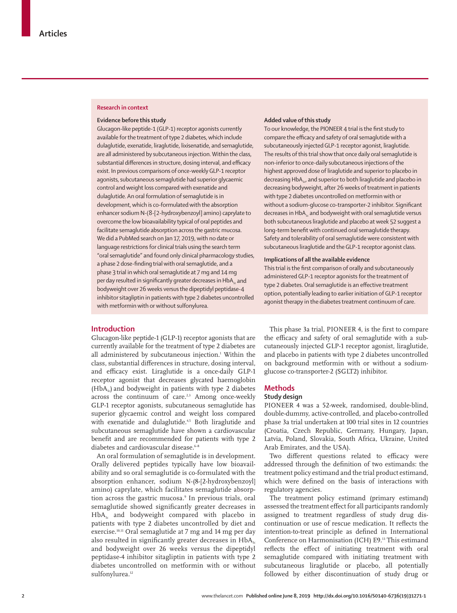#### **Research in context**

#### **Evidence before this study**

Glucagon-like peptide-1 (GLP-1) receptor agonists currently available for the treatment of type 2 diabetes, which include dulaglutide, exenatide, liraglutide, lixisenatide, and semaglutide, are all administered by subcutaneous injection. Within the class, substantial differences in structure, dosing interval, and efficacy exist. In previous comparisons of once-weekly GLP-1 receptor agonists, subcutaneous semaglutide had superior glycaemic control and weight loss compared with exenatide and dulaglutide. An oral formulation of semaglutide is in development, which is co-formulated with the absorption enhancer sodium N-(8-[2-hydroxybenzoyl] amino) caprylate to overcome the low bioavailability typical of oral peptides and facilitate semaglutide absorption across the gastric mucosa. We did a PubMed search on Jan 17, 2019, with no date or language restrictions for clinical trials using the search term "oral semaglutide" and found only clinical pharmacology studies, a phase 2 dose-finding trial with oral semaglutide, and a phase 3 trial in which oral semaglutide at 7 mg and 14 mg per day resulted in significantly greater decreases in HbA<sub>1c</sub> and bodyweight over 26 weeks versus the dipeptidyl peptidase-4 inhibitor sitagliptin in patients with type 2 diabetes uncontrolled with metformin with or without sulfonylurea.

#### **Added value of this study**

To our knowledge, the PIONEER 4 trial is the first study to compare the efficacy and safety of oral semaglutide with a subcutaneously injected GLP-1 receptor agonist, liraglutide. The results of this trial show that once daily oral semaglutide is non-inferior to once-daily subcutaneous injections of the highest approved dose of liraglutide and superior to placebo in decreasing  $HbA_{1c}$ , and superior to both liraglutide and placebo in decreasing bodyweight, after 26 weeks of treatment in patients with type 2 diabetes uncontrolled on metformin with or without a sodium-glucose co-transporter-2 inhibitor. Significant decreases in  $HbA<sub>i</sub>$  and bodyweight with oral semaglutide versus both subcutaneous liraglutide and placebo at week 52 suggest a long-term benefit with continued oral semaglutide therapy. Safety and tolerability of oral semaglutide were consistent with subcutaneous liraglutide and the GLP-1 receptor agonist class.

## **Implications of all the available evidence**

This trial is the first comparison of orally and subcutaneously administered GLP-1 receptor agonists for the treatment of type 2 diabetes. Oral semaglutide is an effective treatment option, potentially leading to earlier initiation of GLP-1 receptor agonist therapy in the diabetes treatment continuum of care.

## **Introduction**

Glucagon-like peptide-1 (GLP-1) receptor agonists that are currently available for the treatment of type 2 diabetes are all administered by subcutaneous injection.<sup>1</sup> Within the class, substantial differences in structure, dosing interval, and efficacy exist. Liraglutide is a once-daily GLP-1 receptor agonist that decreases glycated haemoglobin  $(HbA<sub>i</sub>)$  and bodyweight in patients with type 2 diabetes across the continuum of care.<sup>2,3</sup> Among once-weekly GLP-1 receptor agonists, subcutaneous semaglutide has superior glycaemic control and weight loss compared with exenatide and dulaglutide.<sup>4,5</sup> Both liraglutide and subcutaneous semaglutide have shown a cardiovascular benefit and are recommended for patients with type 2 diabetes and cardiovascular disease.<sup>6-8</sup>

An oral formulation of semaglutide is in development. Orally delivered peptides typically have low bioavailability and so oral semaglutide is co-formulated with the absorption enhancer, sodium N-(8-[2-hydroxybenzoyl] amino) caprylate, which facilitates semaglutide absorption across the gastric mucosa.<sup>9</sup> In previous trials, oral semaglutide showed significantly greater decreases in  $HbA<sub>1c</sub>$  and bodyweight compared with placebo in patients with type 2 diabetes uncontrolled by diet and exercise.10,11 Oral semaglutide at 7 mg and 14 mg per day also resulted in significantly greater decreases in  $HbA<sub>1c</sub>$ and bodyweight over 26 weeks versus the dipeptidyl peptidase-4 inhibitor sitagliptin in patients with type 2 diabetes uncontrolled on metformin with or without sulfonylurea.<sup>12</sup>

This phase 3a trial, PIONEER 4, is the first to compare the efficacy and safety of oral semaglutide with a subcutaneously injected GLP-1 receptor agonist, liraglutide, and placebo in patients with type 2 diabetes uncontrolled on background metformin with or without a sodiumglucose co-transporter-2 (SGLT2) inhibitor.

#### **Methods**

#### **Study design**

PIONEER 4 was a 52-week, randomised, double-blind, double-dummy, active-controlled, and placebo-controlled phase 3a trial undertaken at 100 trial sites in 12 countries (Croatia, Czech Republic, Germany, Hungary, Japan, Latvia, Poland, Slovakia, South Africa, Ukraine, United Arab Emirates, and the USA).

Two different questions related to efficacy were addressed through the definition of two estimands: the treatment policy estimand and the trial product estimand, which were defined on the basis of interactions with regulatory agencies.

The treatment policy estimand (primary estimand) assessed the treatment effect for all participants randomly assigned to treatment regardless of study drug discontinuation or use of rescue medication. It reflects the intention-to-treat principle as defined in International Conference on Harmonisation (ICH) E9.13 This estimand reflects the effect of initiating treatment with oral semaglutide compared with initiating treatment with subcutaneous liraglutide or placebo, all potentially followed by either discontinuation of study drug or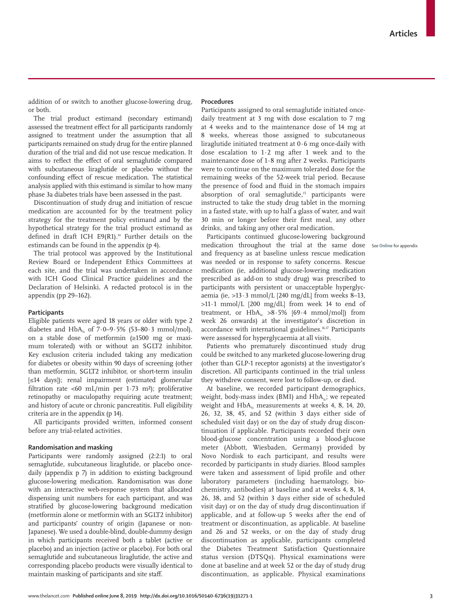addition of or switch to another glucose-lowering drug, or both.

The trial product estimand (secondary estimand) assessed the treatment effect for all participants randomly assigned to treatment under the assumption that all participants remained on study drug for the entire planned duration of the trial and did not use rescue medication. It aims to reflect the effect of oral semaglutide compared with subcutaneous liraglutide or placebo without the confounding effect of rescue medication. The statistical analysis applied with this estimand is similar to how many phase 3a diabetes trials have been assessed in the past.

Discontinuation of study drug and initiation of rescue medication are accounted for by the treatment policy strategy for the treatment policy estimand and by the hypothetical strategy for the trial product estimand as defined in draft ICH E9(R1).<sup>14</sup> Further details on the estimands can be found in the appendix (p 4).

The trial protocol was approved by the Institutional Review Board or Independent Ethics Committees at each site, and the trial was undertaken in accordance with ICH Good Clinical Practice guidelines and the Declaration of Helsinki. A redacted protocol is in the appendix (pp 29–162).

#### **Participants**

Eligible patients were aged 18 years or older with type 2 diabetes and  $HbA<sub>i</sub>$  of 7·0-9·5% (53-80·3 mmol/mol), on a stable dose of metformin (≥1500 mg or maximum tolerated) with or without an SGLT2 inhibitor. Key exclusion criteria included taking any medication for diabetes or obesity within 90 days of screening (other than metformin, SGLT2 inhibitor, or short-term insulin [≤14 days]); renal impairment (estimated glomerular filtration rate <60 mL/min per 1.73 m<sup>2</sup>); proliferative retinopathy or maculopathy requiring acute treatment; and history of acute or chronic pancreatitis. Full eligibility criteria are in the appendix (p 14).

All participants provided written, informed consent before any trial-related activities.

## **Randomisation and masking**

Participants were randomly assigned (2:2:1) to oral semaglutide, subcutaneous liraglutide, or placebo oncedaily (appendix p 7) in addition to existing background glucose-lowering medication. Randomisation was done with an interactive web-response system that allocated dispensing unit numbers for each participant, and was stratified by glucose-lowering background medication (metformin alone or metformin with an SGLT2 inhibitor) and participants' country of origin (Japanese or non-Japanese). We used a double-blind, double-dummy design in which participants received both a tablet (active or placebo) and an injection (active or placebo). For both oral semaglutide and subcutaneous liraglutide, the active and corresponding placebo products were visually identical to maintain masking of participants and site staff.

#### **Procedures**

Participants assigned to oral semaglutide initiated oncedaily treatment at 3 mg with dose escalation to 7 mg at 4 weeks and to the maintenance dose of 14 mg at 8 weeks, whereas those assigned to subcutaneous liraglutide initiated treatment at 0·6 mg once-daily with dose escalation to 1·2 mg after 1 week and to the maintenance dose of 1·8 mg after 2 weeks. Participants were to continue on the maximum tolerated dose for the remaining weeks of the 52-week trial period. Because the presence of food and fluid in the stomach impairs absorption of oral semaglutide,<sup>15</sup> participants were instructed to take the study drug tablet in the morning in a fasted state, with up to half a glass of water, and wait 30 min or longer before their first meal, any other drinks, and taking any other oral medication.

Participants continued glucose-lowering background medication throughout the trial at the same dose and frequency as at baseline unless rescue medication was needed or in response to safety concerns. Rescue medication (ie, additional glucose-lowering medication prescribed as add-on to study drug) was prescribed to participants with persistent or unacceptable hyperglycaemia (ie,  $>13.3$  mmol/L [240 mg/dL] from weeks 8-13,  $>11.1$  mmol/L [200 mg/dL] from week 14 to end of treatment, or  $HbA_1 > 8.5\%$  [69.4 mmol/mol]) from week 26 onwards) at the investigator's discretion in accordance with international guidelines.<sup>16,17</sup> Participants were assessed for hyperglycaemia at all visits.

Patients who prematurely discontinued study drug could be switched to any marketed glucose-lowering drug (other than GLP-1 receptor agonists) at the investigator's discretion. All participants continued in the trial unless they withdrew consent, were lost to follow-up, or died.

At baseline, we recorded participant demographics, weight, body-mass index (BMI) and  $HbA_{1}$ ; we repeated weight and  $HbA<sub>1c</sub>$  measurements at weeks 4, 8, 14, 20, 26, 32, 38, 45, and 52 (within 3 days either side of scheduled visit day) or on the day of study drug discontinuation if applicable. Participants recorded their own blood-glucose concentration using a blood-glucose meter (Abbott, Wiesbaden, Germany) provided by Novo Nordisk to each participant, and results were recorded by participants in study diaries. Blood samples were taken and assessment of lipid profile and other laboratory parameters (including haematology, biochemistry, antibodies) at baseline and at weeks 4, 8, 14, 26, 38, and 52 (within 3 days either side of scheduled visit day) or on the day of study drug discontinuation if applicable, and at follow-up 5 weeks after the end of treatment or discontinuation, as applicable. At baseline and 26 and 52 weeks, or on the day of study drug discontinuation as applicable, participants completed the Diabetes Treatment Satisfaction Questionnaire status version (DTSQs). Physical examinations were done at baseline and at week 52 or the day of study drug discontinuation, as applicable. Physical examinations

See **Online** for appendix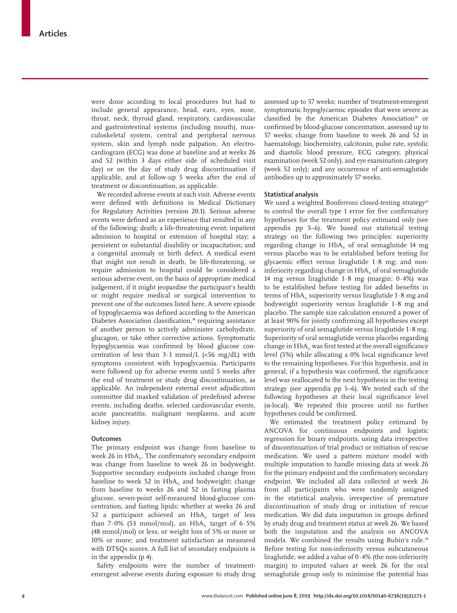were done according to local procedures but had to include general appearance, head, ears, eyes, nose, throat, neck, thyroid gland, respiratory, cardiovascular and gastrointestinal systems (including mouth), musculoskeletal system, central and peripheral nervous system, skin and lymph node palpation. An electrocardiogram (ECG) was done at baseline and at weeks 26 and 52 (within 3 days either side of scheduled visit day) or on the day of study drug discontinuation if applicable, and at follow-up 5 weeks after the end of treatment or discontinuation, as applicable.

We recorded adverse events at each visit. Adverse events were defined with definitions in Medical Dictionary for Regulatory Activities (version 20.1). Serious adverse events were defined as an experience that resulted in any of the following: death; a life-threatening event; inpatient admission to hospital or extension of hospital stay; a persistent or substantial disability or incapacitation; and a congenital anomaly or birth defect. A medical event that might not result in death, be life-threatening, or require admission to hospital could be considered a serious adverse event, on the basis of appropriate medical judgement, if it might jeopardise the participant's health or might require medical or surgical intervention to prevent one of the outcomes listed here. A severe episode of hypoglycaemia was defined according to the American Diabetes Association classification,<sup>18</sup> requiring assistance of another person to actively administer carbohydrate, glucagon, or take other corrective actions. Symptomatic hypoglycaemia was confirmed by blood glucose concentration of less than  $3 \cdot 1$  mmol/L (<56 mg/dL) with symptoms consistent with hypoglycaemia. Participants were followed up for adverse events until 5 weeks after the end of treatment or study drug discontinuation, as applicable. An independent external event adjudication committee did masked validation of predefined adverse events, including deaths, selected cardiovascular events, acute pancreatitis, malignant neoplasms, and acute kidney injury.

#### **Outcomes**

The primary endpoint was change from baseline to week 26 in  $HbA<sub>1c</sub>$ . The confirmatory secondary endpoint was change from baseline to week 26 in bodyweight. Supportive secondary endpoints included change from baseline to week 52 in  $HbA_1c$  and bodyweight; change from baseline to weeks 26 and 52 in fasting plasma glucose, seven-point self-measured blood-glucose concentration, and fasting lipids; whether at weeks 26 and 52 a participant achieved an  $HbA_{1c}$  target of less than 7.0% (53 mmol/mol), an HbA<sub>1c</sub> target of  $6.5\%$ (48 mmol/mol) or less, or weight loss of 5% or more or 10% or more; and treatment satisfaction as measured with DTSQs scores. A full list of secondary endpoints is in the appendix (p 4).

Safety endpoints were the number of treatmentemergent adverse events during exposure to study drug assessed up to 57 weeks; number of treatment-emergent symptomatic hypoglycaemic episodes that were severe as classified by the American Diabetes Association<sup>18</sup> or confirmed by blood-glucose concentration, assessed up to 57 weeks; change from baseline to week 26 and 52 in haematology, biochemistry, calcitonin, pulse rate, systolic and diastolic blood pressure, ECG category, physical examination (week 52 only), and eye examination category (week 52 only); and any occurrence of anti-semaglutide antibodies up to approximately 57 weeks.

### **Statistical analysis**

We used a weighted Bonferroni closed-testing strategy<sup>19</sup> to control the overall type 1 error for five confirmatory hypotheses for the treatment policy estimand only (see appendix pp 5–6). We based our statistical testing strategy on the following two principles: superiority regarding change in  $HbA<sub>i</sub>$  of oral semaglutide 14 mg versus placebo was to be established before testing for glycaemic effect versus liraglutide 1·8 mg; and noninferiority regarding change in  $HbA_{1c}$  of oral semaglutide 14 mg versus liraglutide 1·8 mg (margin: 0·4%) was to be established before testing for added benefits in terms of HbA<sub>1c</sub> superiority versus liraglutide 1.8 mg and bodyweight superiority versus liraglutide 1·8 mg and placebo. The sample size calculation ensured a power of at least 90% for jointly confirming all hypotheses except superiority of oral semaglutide versus liraglutide 1·8 mg. Superiority of oral semaglutide versus placebo regarding change in  $HbA<sub>1c</sub>$  was first tested at the overall significance level (5%) while allocating a 0% local significance level to the remaining hypotheses. For this hypothesis, and in general, if a hypothesis was confirmed, the significance level was reallocated to the next hypothesis in the testing strategy (see appendix pp 5–6). We tested each of the following hypotheses at their local significance level (α-local). We repeated this process until no further hypotheses could be confirmed.

We estimated the treatment policy estimand by ANCOVA for continuous endpoints and logistic regression for binary endpoints, using data irrespective of discontinuation of trial product or initiation of rescue medication. We used a pattern mixture model with multiple imputation to handle missing data at week 26 for the primary endpoint and the confirmatory secondary endpoint. We included all data collected at week 26 from all participants who were randomly assigned in the statistical analysis, irrespective of premature discontinuation of study drug or initiation of rescue medication. We did data imputation in groups defined by study drug and treatment status at week 26. We based both the imputation and the analysis on ANCOVA models. We combined the results using Rubin's rule.<sup>20</sup> Before testing for non-inferiority versus subcutaneous liraglutide, we added a value of  $0.4\%$  (the non-inferiority margin) to imputed values at week 26 for the oral semaglutide group only to minimise the potential bias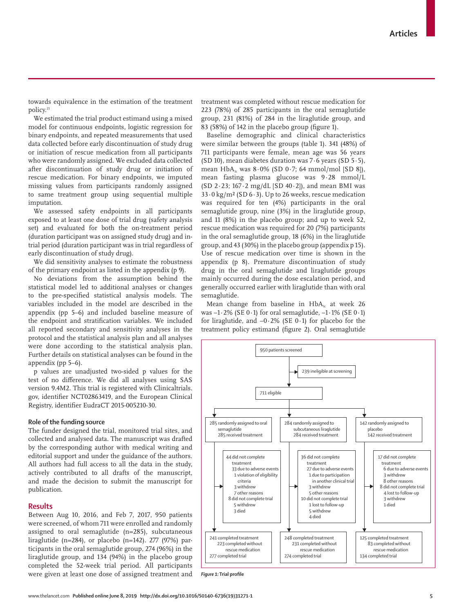towards equivalence in the estimation of the treatment policy.<sup>21</sup>

We estimated the trial product estimand using a mixed model for continuous endpoints, logistic regression for binary endpoints, and repeated measurements that used data collected before early discontinuation of study drug or initiation of rescue medication from all participants who were randomly assigned. We excluded data collected after discontinuation of study drug or initiation of rescue medication. For binary endpoints, we imputed missing values from participants randomly assigned to same treatment group using sequential multiple imputation.

We assessed safety endpoints in all participants exposed to at least one dose of trial drug (safety analysis set) and evaluated for both the on-treatment period (duration participant was on assigned study drug) and intrial period (duration participant was in trial regardless of early discontinuation of study drug).

We did sensitivity analyses to estimate the robustness of the primary endpoint as listed in the appendix (p 9).

No deviations from the assumption behind the statistical model led to additional analyses or changes to the pre-specified statistical analysis models. The variables included in the model are described in the appendix (pp 5–6) and included baseline measure of the endpoint and stratification variables. We included all reported secondary and sensitivity analyses in the protocol and the statistical analysis plan and all analyses were done according to the statistical analysis plan. Further details on statistical analyses can be found in the appendix (pp 5–6).

p values are unadjusted two-sided p values for the test of no difference. We did all analyses using SAS version 9.4M2. This trial is registered with Clinicaltrials. gov, identifier NCT02863419, and the European Clinical Registry, identifier EudraCT 2015-005210-30.

#### **Role of the funding source**

The funder designed the trial, monitored trial sites, and collected and analysed data. The manuscript was drafted by the corresponding author with medical writing and editorial support and under the guidance of the authors. All authors had full access to all the data in the study, actively contributed to all drafts of the manuscript, and made the decision to submit the manuscript for publication.

## **Results**

Between Aug 10, 2016, and Feb 7, 2017, 950 patients were screened, of whom 711 were enrolled and randomly assigned to oral semaglutide (n=285), subcutaneous liraglutide (n=284), or placebo (n=142). 277 (97%) participants in the oral semaglutide group, 274 (96%) in the liraglutide group, and 134 (94%) in the placebo group completed the 52-week trial period. All participants were given at least one dose of assigned treatment and treatment was completed without rescue medication for 223 (78%) of 285 participants in the oral semaglutide group, 231 (81%) of 284 in the liraglutide group, and 83 (58%) of 142 in the placebo group (figure 1).

Baseline demographic and clinical characteristics were similar between the groups (table 1). 341 (48%) of 711 participants were female, mean age was 56 years (SD 10), mean diabetes duration was 7·6 years (SD 5·5), mean  $HbA_{1c}$  was  $8.0\%$  (SD 0.7; 64 mmol/mol [SD 8]), mean fasting plasma glucose was 9·28 mmol/L (SD  $2.23$ ; 167 $\cdot$ 2 mg/dL [SD 40 $\cdot$ 2]), and mean BMI was 33·0 kg/m² (SD 6·3). Up to 26 weeks, rescue medication was required for ten (4%) participants in the oral semaglutide group, nine (3%) in the liraglutide group, and 11 (8%) in the placebo group; and up to week 52, rescue medication was required for 20 (7%) participants in the oral semaglutide group, 18 (6%) in the liraglutide group, and 43 (30%) in the placebo group (appendix p 15). Use of rescue medication over time is shown in the appendix (p 8). Premature discontinuation of study drug in the oral semaglutide and liraglutide groups mainly occurred during the dose escalation period, and generally occurred earlier with liraglutide than with oral semaglutide.

Mean change from baseline in  $HbA<sub>1c</sub>$  at week 26 was  $-1.2\%$  (SE 0.1) for oral semaglutide,  $-1.1\%$  (SE 0.1) for liraglutide, and −0·2% (SE 0·1) for placebo for the treatment policy estimand (figure 2). Oral semaglutide



*Figure 1:* **Trial profile**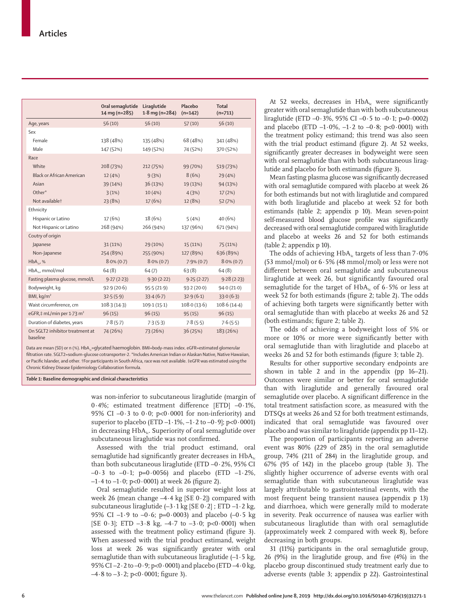|                                             | Oral semaglutide<br>14 mg (n=285) | Liraglutide<br>$1.8$ mg (n=284) | Placebo<br>$(n=142)$ | Total<br>$(n=711)$ |
|---------------------------------------------|-----------------------------------|---------------------------------|----------------------|--------------------|
| Age, years                                  | 56(10)                            | 56(10)                          | 57(10)               | 56(10)             |
| Sex                                         |                                   |                                 |                      |                    |
| Female                                      | 138 (48%)                         | 135 (48%)                       | 68 (48%)             | 341 (48%)          |
| Male                                        | 147 (52%)                         | 149 (52%)                       | 74 (52%)             | 370 (52%)          |
| Race                                        |                                   |                                 |                      |                    |
| White                                       | 208 (73%)                         | 212 (75%)                       | 99 (70%)             | 519 (73%)          |
| Black or African American                   | 12(4%)                            | 9(3%)                           | 8(6%)                | 29 (4%)            |
| Asian                                       | 39 (14%)                          | 36(13%)                         | 19 (13%)             | 94 (13%)           |
| Other*                                      | 3(1%)                             | 10(4% )                         | 4(3%)                | 17(2%)             |
| Not availablet                              | 23 (8%)                           | 17 (6%)                         | 12 (8%)              | 52 (7%)            |
| Ethnicity                                   |                                   |                                 |                      |                    |
| Hispanic or Latino                          | 17 (6%)                           | 18 (6%)                         | 5(4%)                | 40 (6%)            |
| Not Hispanic or Latino                      | 268 (94%)                         | 266 (94%)                       | 137 (96%)            | 671 (94%)          |
| Coutry of origin                            |                                   |                                 |                      |                    |
| Japanese                                    | 31(11%)                           | 29 (10%)                        | 15 (11%)             | 75 (11%)           |
| Non-Japanese                                | 254 (89%)                         | 255 (90%)                       | 127 (89%)            | 636 (89%)          |
| $HbA_{11}$ %                                | $8.0\%$ (0.7)                     | $8.0\%$ (0.7)                   | $7.9\%$ (0.7)        | $8.0\%$ (0.7)      |
| $HbA_{11}$ , mmol/mol                       | 64(8)                             | 64(7)                           | 63(8)                | 64(8)              |
| Fasting plasma glucose, mmol/L              | 9.27(2.23)                        | 9.30(2.22)                      | 9.25(2.27)           | 9.28(2.23)         |
| Bodyweight, kg                              | 92.9(20.6)                        | 95.5(21.9)                      | 93.2(20.0)           | 94.0(21.0)         |
| BMI, $kg/m2$                                | 32.5(5.9)                         | 33.4(6.7)                       | 32.9(6.1)            | 33.0(6.3)          |
| Waist circumference, cm                     | 108.3(14.3)                       | 109.1(15.1)                     | 108.0(13.6)          | 108.6(14.4)        |
| eGFR,# mL/min per 1.73 m <sup>2</sup>       | 96(15)                            | 96(15)                          | 95(15)               | 96(15)             |
| Duration of diabetes, years                 | 7.8(5.7)                          | 7.3(5.3)                        | 7.8(5.5)             | 7.6(5.5)           |
| On SGLT2 inhibitor treatment at<br>baseline | 74 (26%)                          | 73 (26%)                        | 36 (25%)             | 183 (26%)          |

Data are mean (SD) or n (%).  $HbA_{1c}=glycated haemoglobin.$  BMI=body-mass index. eGFR=estimated glomerular filtration rate. SGLT2=sodium-glucose cotransporter-2. \*Includes American Indian or Alaskan Native, Native Hawaiian, or Pacific Islander, and other. †For participants in South Africa, race was not available. ‡eGFR was estimated using the Chronic Kidney Disease Epidemiology Collaboration formula.

*Table 1:* **Baseline demographic and clinical characteristics**

was non-inferior to subcutaneous liraglutide (margin of 0·4%; estimated treatment difference [ETD] –0·1%, 95% CI  $-0.3$  to 0.0; p<0.0001 for non-inferiority) and superior to placebo (ETD  $-1.1\%$ ,  $-1.2$  to  $-0.9$ ); p<0.0001) in decreasing  $HbA_{1c}$ . Superiority of oral semaglutide over subcutaneous liraglutide was not confirmed.

Assessed with the trial product estimand, oral semaglutide had significantly greater decreases in  $HbA<sub>1c</sub>$ than both subcutaneous liraglutide (ETD  $-0.2$ %, 95% CI  $-0.3$  to  $-0.1$ ; p=0.0056) and placebo (ETD  $-1.2\%$ ,  $-1.4$  to  $-1.0$ ; p<0.0001) at week 26 (figure 2).

Oral semaglutide resulted in superior weight loss at week 26 (mean change  $-4.4$  kg [SE  $0.2$ ]) compared with subcutaneous liraglutide  $(-3.1 \text{ kg} [SE 0.2]$ ; ETD  $-1.2 \text{ kg}$ , 95% CI –1.9 to –0.6; p=0.0003) and placebo (–0.5 kg [SE 0.3]; ETD  $-3.8$  kg,  $-4.7$  to  $-3.0$ ; p<0.0001) when assessed with the treatment policy estimand (figure 3). When assessed with the trial product estimand, weight loss at week 26 was significantly greater with oral semaglutide than with subcutaneous liraglutide  $(-1.5 \text{ kg})$ , 95% CI –2·2 to –0·9; p<0·0001) and placebo (ETD –4·0 kg,  $-4.8$  to  $-3.2$ ; p<0.0001; figure 3).

At 52 weeks, decreases in  $HbA_i$  were significantly greater with oral semaglutide than with both subcutaneous liraglutide (ETD  $-0.3\%$ , 95% CI  $-0.5$  to  $-0.1$ ; p=0.0002) and placebo (ETD  $-1.0\%$ ,  $-1.2$  to  $-0.8$ ; p<0.0001) with the treatment policy estimand; this trend was also seen with the trial product estimand (figure 2). At 52 weeks, significantly greater decreases in bodyweight were seen with oral semaglutide than with both subcutaneous liraglutide and placebo for both estimands (figure 3).

Mean fasting plasma glucose was significantly decreased with oral semaglutide compared with placebo at week 26 for both estimands but not with liraglutide and compared with both liraglutide and placebo at week 52 for both estimands (table 2; appendix p 10). Mean seven-point self-measured blood glucose profile was significantly decreased with oral semaglutide compared with liraglutide and placebo at weeks 26 and 52 for both estimands (table 2; appendix p 10).

The odds of achieving  $HbA<sub>1c</sub>$  targets of less than  $7.0\%$ (53 mmol/mol) or 6·5% (48 mmol/mol) or less were not different between oral semaglutide and subcutaneous liraglutide at week 26, but significantly favoured oral semaglutide for the target of  $HbA_i$  of 6.5% or less at week 52 for both estimands (figure 2; table 2). The odds of achieving both targets were significantly better with oral semaglutide than with placebo at weeks 26 and 52 (both estimands; figure 2; table 2).

The odds of achieving a bodyweight loss of 5% or more or 10% or more were significantly better with oral semaglutide than with liraglutide and placebo at weeks 26 and 52 for both estimands (figure 3; table 2).

Results for other supportive secondary endpoints are shown in table 2 and in the appendix (pp 16–21). Outcomes were similar or better for oral semaglutide than with liraglutide and generally favoured oral semaglutide over placebo. A significant difference in the total treatment satisfaction score, as measured with the DTSQs at weeks 26 and 52 for both treatment estimands, indicated that oral semaglutide was favoured over placebo and was similar to liraglutide (appendix pp 11–12).

The proportion of participants reporting an adverse event was 80% (229 of 285) in the oral semaglutide group, 74% (211 of 284) in the liraglutide group, and 67% (95 of 142) in the placebo group (table 3). The slightly higher occurrence of adverse events with oral semaglutide than with subcutaneous liraglutide was largely attributable to gastrointestinal events, with the most frequent being transient nausea (appendix p 13) and diarrhoea, which were generally mild to moderate in severity. Peak occurrence of nausea was earlier with subcutaneous liraglutide than with oral semaglutide (approximately week 2 compared with week 8), before decreasing in both groups.

31 (11%) participants in the oral semaglutide group, 26 (9%) in the liraglutide group, and five (4%) in the placebo group discontinued study treatment early due to adverse events (table 3; appendix p 22). Gastrointestinal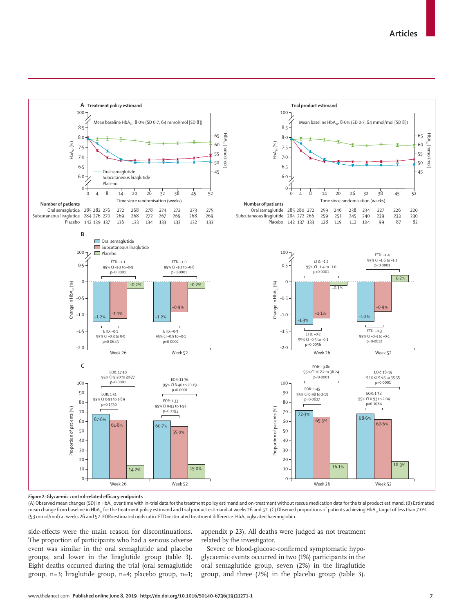

#### *Figure 2:* **Glycaemic control-related efficacy endpoints**

(A) Observed mean changes (SD) in HbA<sub>1c</sub> over time with in-trial data for the treatment policy estimand and on-treatment without rescue medication data for the trial product estimand. (B) Estimated mean change from baseline in HbA<sub>1c</sub> for the treatment policy estimand and trial product estimand at weeks 26 and 52. (C) Observed proportions of patients achieving HbA<sub>1c</sub> target of less than 7·0% (53 mmol/mol) at weeks 26 and 52. EOR=estimated odds ratio. ETD=estimated treatment difference. HbA<sub>1c</sub>=glycated haemoglobin.

side-effects were the main reason for discontinuations. The proportion of participants who had a serious adverse event was similar in the oral semaglutide and placebo groups, and lower in the liraglutide group (table 3). Eight deaths occurred during the trial (oral semaglutide group, n=3; liraglutide group, n=4; placebo group, n=1; appendix p 23). All deaths were judged as not treatment related by the investigator.

Severe or blood-glucose-confirmed symptomatic hypoglycaemic events occurred in two (1%) participants in the oral semaglutide group, seven (2%) in the liraglutide group, and three (2%) in the placebo group (table 3).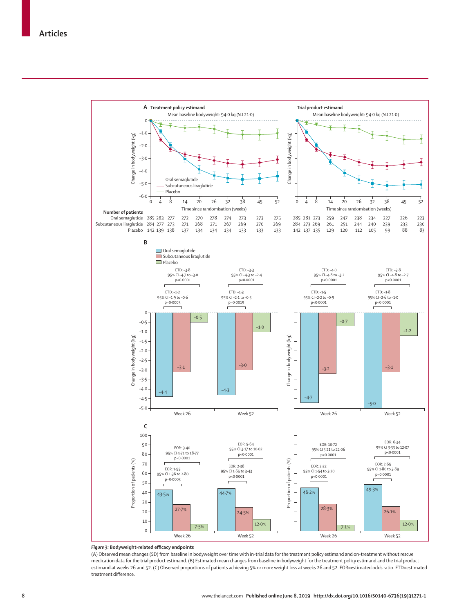

## *Figure 3:* **Bodyweight-related efficacy endpoints**

(A) Observed mean changes (SD) from baseline in bodyweight over time with in-trial data for the treatment policy estimand and on-treatment without rescue medication data for the trial product estimand. (B) Estimated mean changes from baseline in bodyweight for the treatment policy estimand and the trial product estimand at weeks 26 and 52. (C) Observed proportions of patients achieving 5% or more weight loss at weeks 26 and 52. EOR=estimated odds ratio. ETD=estimated treatment difference.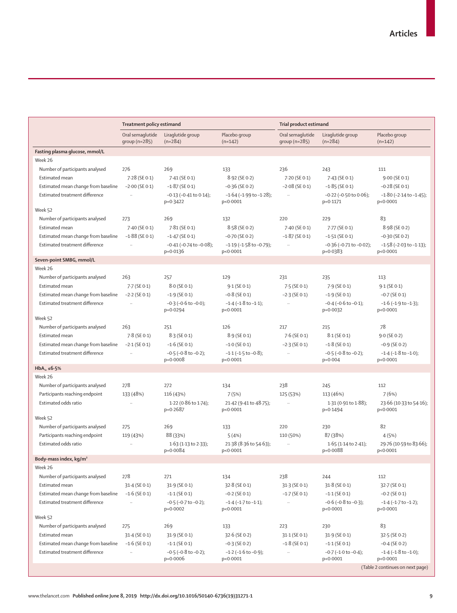|                                                        | Treatment policy estimand |                                              | Trial product estimand                      |                       |                                              |                                              |
|--------------------------------------------------------|---------------------------|----------------------------------------------|---------------------------------------------|-----------------------|----------------------------------------------|----------------------------------------------|
|                                                        | Oral semaglutide          | Liraglutide group                            | Placebo group                               | Oral semaglutide      | Liraglutide group                            | Placebo group                                |
|                                                        | group $(n=285)$           | $(n=284)$                                    | $(n=142)$                                   | group $(n=285)$       | $(n=284)$                                    | $(n=142)$                                    |
| Fasting plasma glucose, mmol/L                         |                           |                                              |                                             |                       |                                              |                                              |
| Week 26                                                |                           |                                              |                                             |                       |                                              |                                              |
| Number of participants analysed                        | 276                       | 269                                          | 133                                         | 236                   | 243                                          | 111                                          |
| Estimated mean                                         | $7.28$ (SE 0.1)           | 7.41 (SE 0.1)                                | 8.92 (SE 0.2)                               | 7.20 (SE 0.1)         | $7.43$ (SE 0.1)                              | $9.00$ (SE 0.1)                              |
| Estimated mean change from baseline                    | $-2.00$ (SE 0.1)          | $-1.87$ (SE 0.1)                             | $-0.36$ (SE 0.2)                            | $-2.08$ (SE 0.1)      | $-1.85$ (SE 0.1)                             | $-0.28$ (SE 0.1)                             |
| Estimated treatment difference                         | $\ddotsc$                 | $-0.13$ ( $-0.41$ to $0.14$ );<br>$p=0.3422$ | $-1.64$ ( $-1.99$ to $-1.28$ );<br>p<0.0001 | $\bar{\mathcal{A}}$   | $-0.22$ ( $-0.50$ to $0.06$ );<br>$p=0.1171$ | $-1.80$ ( $-2.14$ to $-1.45$ );<br>p<0.0001  |
| Week 52                                                |                           |                                              |                                             |                       |                                              |                                              |
| Number of participants analysed                        | 273                       | 269                                          | 132                                         | 220                   | 229                                          | 83                                           |
| Estimated mean                                         | $7.40$ (SE 0.1)           | 7.81 (SE 0.1)                                | 8.58 (SE 0.2)                               | 7.40 (SE 0.1)         | 7.77 (SE 0.1)                                | 8.98 (SE 0.2)                                |
| Estimated mean change from baseline                    | $-1.88$ (SE 0.1)          | $-1.47$ (SE 0.1)                             | $-0.70$ (SE 0.2)                            | $-1.87$ (SE 0.1)      | $-1.51$ (SE 0.1)                             | $-0.30$ (SE 0.2)                             |
| Estimated treatment difference                         | $\ldots$                  | $-0.41$ ( $-0.74$ to $-0.08$ );              | $-1.19$ ( $-1.58$ to $-0.79$ );             | $\ldots$              | $-0.36$ ( $-0.71$ to $-0.02$ );              | $-1.58$ ( $-2.03$ to $-1.13$ );              |
|                                                        |                           | $p=0.0136$                                   | p<0.0001                                    |                       | $p=0.0383$                                   | p<0.0001                                     |
| Seven-point SMBG, mmol/L                               |                           |                                              |                                             |                       |                                              |                                              |
| Week 26                                                |                           |                                              |                                             |                       |                                              |                                              |
| Number of participants analysed                        | 263                       | 257                                          | 129                                         | 231                   | 235                                          | 113                                          |
| Estimated mean                                         | 7-7 (SE 0-1)              | $8.0$ (SE 0.1)                               | $9.1$ (SE 0.1)                              | $7.5$ (SE 0.1)        | $7.9$ (SE 0.1)                               | $9.1$ (SE 0.1)                               |
| Estimated mean change from baseline                    | $-2.2$ (SE 0.1)           | $-1.9$ (SE 0.1)                              | $-0.8$ (SE 0.1)                             | $-2.3$ (SE 0.1)       | $-1.9$ (SE 0.1)                              | $-0.7$ (SE 0.1)                              |
| Estimated treatment difference                         | $\ldots$                  | $-0.3$ ( $-0.6$ to $-0.0$ );                 | $-1.4$ ( $-1.8$ to $-1.1$ );                | $\ldots$              | $-0.4$ ( $-0.6$ to $-0.1$ );                 | $-1.6$ ( $-1.9$ to $-1.3$ );                 |
|                                                        |                           | p=0.0294                                     | p<0.0001                                    |                       | $p=0.0032$                                   | p<0.0001                                     |
| Week 52                                                |                           |                                              |                                             |                       |                                              |                                              |
| Number of participants analysed                        | 263                       | 251                                          | 126                                         | 217                   | 215                                          | 78                                           |
| Estimated mean                                         | $7.8$ (SE 0.1)            | $8.3$ (SE 0.1)                               | $8.9$ (SE 0.1)                              | $7.6$ (SE 0.1)        | $8.1$ (SE 0.1)                               | $9.0$ (SE 0.2)                               |
| Estimated mean change from baseline                    | $-2.1$ (SE 0.1)           | $-1.6$ (SE 0.1)                              | $-1.0$ (SE 0.1)                             | $-2.3$ (SE 0.1)       | $-1.8$ (SE 0.1)                              | $-0.9$ (SE 0.2)                              |
| Estimated treatment difference                         |                           | $-0.5$ ( $-0.8$ to $-0.2$ );<br>p=0.0008     | $-1.1$ ( $-1.5$ to $-0.8$ );<br>p<0.0001    |                       | $-0.5$ ( $-0.8$ to $-0.2$ );<br>$p = 0.004$  | $-1.4$ ( $-1.8$ to $-1.0$ );<br>p<0.0001     |
| HbA <sub>1c</sub> $\leq 6.5\%$                         |                           |                                              |                                             |                       |                                              |                                              |
| Week 26                                                |                           |                                              |                                             |                       |                                              |                                              |
| Number of participants analysed                        | 278                       | 272                                          | 134                                         | 238                   | 245                                          | 112                                          |
| Participants reaching endpoint                         | 133 (48%)                 | 116 (43%)                                    | 7(5%)                                       | 125 (53%)             | 113 (46%)                                    | 7(6%)                                        |
| Estimated odds ratio                                   | $\ddotsc$                 | 1.22 (0.86 to 1.74);                         | 21.42 (9.41 to 48.75);                      | $\ldots$              | $1.31(0.91 \text{ to } 1.88);$               | 23.66 (10.33 to 54.16);                      |
|                                                        |                           | p=0.2687                                     | p<0.0001                                    |                       | p=0.1494                                     | p<0.0001                                     |
| Week 52                                                |                           |                                              |                                             |                       |                                              |                                              |
| Number of participants analysed                        | 275                       | 269                                          | 133                                         | 220                   | 230                                          | 82                                           |
| Participants reaching endpoint<br>Estimated odds ratio | 119 (43%)<br>$\ddotsc$    | 88 (33%)                                     | 5(4%)                                       | 110 (50%)<br>$\ldots$ | 87 (38%)                                     | 4(5%)                                        |
|                                                        |                           | $1.63$ (1.13 to 2.33);<br>p=0.0084           | 21.38 (8.36 to 54.63);<br>p<0.0001          |                       | $1.65$ (1.14 to 2.41);<br>$p=0.0088$         | 29.76 (10.59 to 83.66);<br>p<0.0001          |
| Body-mass index, kg/m <sup>2</sup>                     |                           |                                              |                                             |                       |                                              |                                              |
| Week 26                                                |                           |                                              |                                             |                       |                                              |                                              |
| Number of participants analysed                        | 278                       | 271                                          | 134                                         | 238                   | 244                                          | 112                                          |
| Estimated mean                                         | 31-4 (SE 0-1)             | 31.9 (SE 0.1)                                | 32.8 (SE 0.1)                               | 31.3 (SE 0.1)         | 31.8 (SE 0.1)                                | 32.7 (SE 0.1)                                |
| Estimated mean change from baseline                    | $-1.6$ (SE 0.1)           | $-1.1$ (SE 0.1)                              | $-0.2$ (SE 0.1)                             | $-1.7$ (SE 0.1)       | $-1.1$ (SE 0.1)                              | $-0.2$ (SE 0.1)                              |
| Estimated treatment difference                         | $\ldots$                  | $-0.5$ ( $-0.7$ to $-0.2$ );                 | $-1.4$ ( $-1.7$ to $-1.1$ );                | $\ldots$              | $-0.6$ ( $-0.8$ to $-0.3$ );                 | $-1.4$ ( $-1.7$ to $-1.2$ );                 |
|                                                        |                           | $p=0.0002$                                   | p<0.0001                                    |                       | p<0.0001                                     | p<0.0001                                     |
| Week 52                                                |                           |                                              |                                             |                       |                                              |                                              |
| Number of participants analysed                        | 275                       | 269                                          | 133                                         | 223                   | 230                                          | 83                                           |
| Estimated mean                                         | 31-4 (SE 0-1)             | 31.9 (SE 0.1)                                | 32.6 (SE 0.2)                               | $31.1$ (SE 0.1)       | 31.9 (SE 0.1)                                | 32.5 (SE 0.2)                                |
| Estimated mean change from baseline                    | $-1.6$ (SE 0.1)           | $-1.1$ (SE 0.1)                              | $-0.3$ (SE 0.2)                             | $-1.8$ (SE 0.1)       | $-1.1$ (SE 0.1)                              | $-0.4$ (SE 0.2)                              |
| Estimated treatment difference                         | $\ldots$                  | $-0.5$ ( $-0.8$ to $-0.2$ );                 | $-1.2$ ( $-1.6$ to $-0.9$ );                | $\ldots$              | $-0.7$ ( $-1.0$ to $-0.4$ );                 | $-1.4$ ( $-1.8$ to $-1.0$ );                 |
|                                                        |                           | p=0.0006                                     | p<0.0001                                    |                       | p<0.0001                                     | p<0.0001<br>(Table 2 continues on next page) |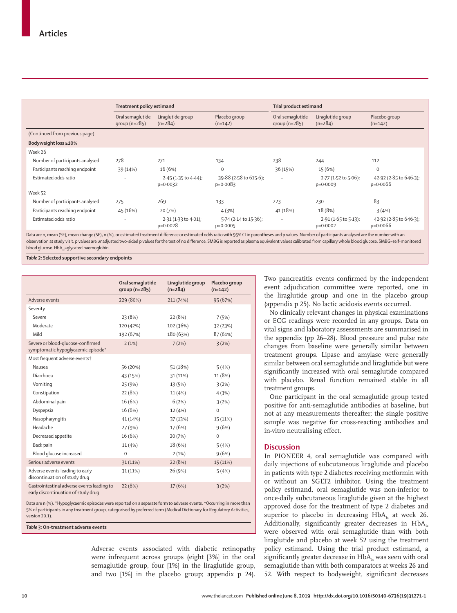| Treatment policy estimand           |                                         | Trial product estimand               |                                     |                                        |                                      |
|-------------------------------------|-----------------------------------------|--------------------------------------|-------------------------------------|----------------------------------------|--------------------------------------|
| Oral semaglutide<br>group $(n=285)$ | Liraglutide group<br>$(n=284)$          | Placebo group<br>$(n=142)$           | Oral semaglutide<br>group $(n=285)$ | Liraglutide group<br>$(n=284)$         | Placebo group<br>$(n=142)$           |
|                                     |                                         |                                      |                                     |                                        |                                      |
|                                     |                                         |                                      |                                     |                                        |                                      |
|                                     |                                         |                                      |                                     |                                        |                                      |
| 278                                 | 271                                     | 134                                  | 238                                 | 244                                    | 112                                  |
| 39 (14%)                            | 16(6%)                                  | $\mathbf 0$                          | 36 (15%)                            | 15 (6%)                                | $\Omega$                             |
| $\ddotsc$                           | $2.45$ (1.35 to 4.44);<br>$p=0.0032$    | 39.88 (2.58 to 615.6);<br>$p=0.0083$ | $\ddotsc$                           | $2.77$ (1.52 to 5.06);<br>$p=0.0009$   | 42.92 (2.85 to 646.3);<br>$p=0.0066$ |
|                                     |                                         |                                      |                                     |                                        |                                      |
| 275                                 | 269                                     | 133                                  | 223                                 | 230                                    | 83                                   |
| 45 (16%)                            | 20 (7%)                                 | 4(3%)                                | 41 (18%)                            | 18 (8%)                                | 3(4%)                                |
| $\ddotsc$                           | $2.31(1.33)$ to $4.01$ );<br>$p=0.0028$ | 5.74 (2.14 to 15.36);<br>$p=0.0005$  | $\ddotsc$                           | $2.91(1.65$ to $5.13$ );<br>$p=0.0002$ | 42.92 (2.85 to 646.3);<br>$p=0.0066$ |
|                                     |                                         |                                      |                                     |                                        |                                      |

Data are n, mean (SE), mean change (SE), n (%), or estimated treatment difference or estimated odds ratio with 95% CI in parentheses and p values. Number of participants analysed are the number with an observation at study visit. p values are unadjusted two-sided p values for the test of no difference. SMBG is reported as plasma equivalent values calibrated from capillary whole blood glucose. SMBG=self-monitored blood glucose. HbA<sub>1c</sub>=glycated haemoglobin.

*Table 2:* **Selected supportive secondary endpoints**

|                                                                                   | Oral semaglutide<br>$qroup(n=285)$ | Liraglutide group<br>$(n=284)$ | Placebo group<br>$(n=142)$ |
|-----------------------------------------------------------------------------------|------------------------------------|--------------------------------|----------------------------|
| Adverse events                                                                    | 229 (80%)                          | 211 (74%)                      | 95 (67%)                   |
| Severity                                                                          |                                    |                                |                            |
| Severe                                                                            | 23 (8%)                            | 22 (8%)                        | 7(5%)                      |
| Moderate                                                                          | 120 (42%)                          | 102 (36%)                      | 32 (23%)                   |
| Mild                                                                              | 192 (67%)                          | 180 (63%)                      | 87 (61%)                   |
| Severe or blood-glucose-confirmed<br>symptomatic hypoqlycaemic episode*           | 2(1%)                              | 7(2%)                          | 3(2%)                      |
| Most frequent adverse events†                                                     |                                    |                                |                            |
| Nausea                                                                            | 56 (20%)                           | 51 (18%)                       | 5(4%)                      |
| Diarrhoea                                                                         | 43 (15%)                           | 31(11%)                        | 11 (8%)                    |
| Vomiting                                                                          | 25 (9%)                            | 13 (5%)                        | 3(2%)                      |
| Constipation                                                                      | 22 (8%)                            | 11(4% )                        | 4(3%)                      |
| Abdominal pain                                                                    | 16 (6%)                            | 6(2%)                          | 3(2%)                      |
| Dyspepsia                                                                         | 16 (6%)                            | 12 (4%)                        | $\mathbf 0$                |
| Nasopharyngitis                                                                   | 41 (14%)                           | 37 (13%)                       | 15 (11%)                   |
| Headache                                                                          | 27 (9%)                            | 17 (6%)                        | 9(6%)                      |
| Decreased appetite                                                                | 16 (6%)                            | 20 (7%)                        | $\mathbf 0$                |
| Back pain                                                                         | 11 (4%)                            | 18 (6%)                        | 5(4%)                      |
| Blood glucose increased                                                           | $\mathbf 0$                        | 2(1%)                          | 9(6%)                      |
| Serious adverse events                                                            | 31(11%)                            | 22(8%)                         | 15 (11%)                   |
| Adverse events leading to early<br>discontinuation of study drug                  | 31 (11%)                           | 26 (9%)                        | 5(4%)                      |
| Gastrointestinal adverse events leading to<br>early discontinuation of study drug | 22 (8%)                            | 17(6%)                         | 3(2%)                      |

Data are n (%). \*Hypoglycaemic episodes were reported on a separate form to adverse events. †Occurring in more than 5% of participants in any treatment group, categorised by preferred term (Medical Dictionary for Regulatory Activities, version 20.1).

*Table 3:* **On-treatment adverse events**

Adverse events associated with diabetic retinopathy were infrequent across groups (eight [3%] in the oral semaglutide group, four [1%] in the liraglutide group, and two [1%] in the placebo group; appendix p 24). Two pancreatitis events confirmed by the independent event adjudication committee were reported, one in the liraglutide group and one in the placebo group (appendix p 25). No lactic acidosis events occurred.

No clinically relevant changes in physical examinations or ECG readings were recorded in any groups. Data on vital signs and laboratory assessments are summarised in the appendix (pp 26–28). Blood pressure and pulse rate changes from baseline were generally similar between treatment groups. Lipase and amylase were generally similar between oral semaglutide and liraglutide but were significantly increased with oral semaglutide compared with placebo. Renal function remained stable in all treatment groups.

One participant in the oral semaglutide group tested positive for anti-semaglutide antibodies at baseline, but not at any measurements thereafter; the single positive sample was negative for cross-reacting antibodies and in-vitro neutralising effect.

## **Discussion**

In PIONEER 4, oral semaglutide was compared with daily injections of subcutaneous liraglutide and placebo in patients with type 2 diabetes receiving metformin with or without an SGLT2 inhibitor. Using the treatment policy estimand, oral semaglutide was non-inferior to once-daily subcutaneous liraglutide given at the highest approved dose for the treatment of type 2 diabetes and superior to placebo in decreasing  $HbA<sub>1c</sub>$  at week 26. Additionally, significantly greater decreases in  $HbA_1c$ were observed with oral semaglutide than with both liraglutide and placebo at week 52 using the treatment policy estimand. Using the trial product estimand, a significantly greater decrease in  $HbA<sub>1c</sub>$  was seen with oral semaglutide than with both comparators at weeks 26 and 52. With respect to bodyweight, significant decreases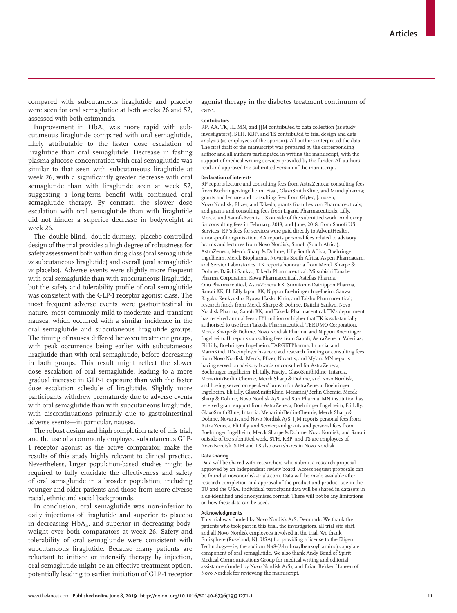compared with subcutaneous liraglutide and placebo were seen for oral semaglutide at both weeks 26 and 52, assessed with both estimands.

Improvement in  $HbA<sub>i</sub>$  was more rapid with subcutaneous liraglutide compared with oral semaglutide, likely attributable to the faster dose escalation of liraglutide than oral semaglutide. Decrease in fasting plasma glucose concentration with oral semaglutide was similar to that seen with subcutaneous liraglutide at week 26, with a significantly greater decrease with oral semaglutide than with liraglutide seen at week 52, suggesting a long-term benefit with continued oral semaglutide therapy. By contrast, the slower dose escalation with oral semaglutide than with liraglutide did not hinder a superior decrease in bodyweight at week 26.

The double-blind, double-dummy, placebo-controlled design of the trial provides a high degree of robustness for safety assessment both within drug class (oral semaglutide *vs* subcutaneous liraglutide) and overall (oral semaglutide *vs* placebo). Adverse events were slightly more frequent with oral semaglutide than with subcutaneous liraglutide, but the safety and tolerability profile of oral semaglutide was consistent with the GLP-1 receptor agonist class. The most frequent adverse events were gastrointestinal in nature, most commonly mild-to-moderate and transient nausea, which occurred with a similar incidence in the oral semaglutide and subcutaneous liraglutide groups. The timing of nausea differed between treatment groups, with peak occurrence being earlier with subcutaneous liraglutide than with oral semaglutide, before decreasing in both groups. This result might reflect the slower dose escalation of oral semaglutide, leading to a more gradual increase in GLP-1 exposure than with the faster dose escalation schedule of liraglutide. Slightly more participants withdrew prematurely due to adverse events with oral semaglutide than with subcutaneous liraglutide, with discontinuations primarily due to gastrointestinal adverse events—in particular, nausea.

The robust design and high completion rate of this trial, and the use of a commonly employed subcutaneous GLP-1 receptor agonist as the active comparator, make the results of this study highly relevant to clinical practice. Nevertheless, larger population-based studies might be required to fully elucidate the effectiveness and safety of oral semaglutide in a broader population, including younger and older patients and those from more diverse racial, ethnic and social backgrounds.

In conclusion, oral semaglutide was non-inferior to daily injections of liraglutide and superior to placebo in decreasing  $HbA<sub>1c</sub>$ , and superior in decreasing bodyweight over both comparators at week 26. Safety and tolerability of oral semaglutide were consistent with subcutaneous liraglutide. Because many patients are reluctant to initiate or intensify therapy by injection, oral semaglutide might be an effective treatment option, potentially leading to earlier initiation of GLP-1 receptor agonist therapy in the diabetes treatment continuum of care.

#### **Contributors**

RP, AA, TK, IL, MN, and JJM contributed to data collection (as study investigators). STH, KBP, and TS contributed to trial design and data analysis (as employees of the sponsor). All authors interpreted the data. The first draft of the manuscript was prepared by the corresponding author and all authors participated in writing the manuscript, with the support of medical writing services provided by the funder. All authors read and approved the submitted version of the manuscript.

#### **Declaration of interests**

RP reports lecture and consulting fees from AstraZeneca; consulting fees from Boehringer-Ingelheim, Eisai, GlaxoSmithKline, and Mundipharma; grants and lecture and consulting fees from Glytec, Janssen, Novo Nordisk, Pfizer, and Takeda; grants from Lexicon Pharmaceuticals; and grants and consulting fees from Ligand Pharmaceuticals, Lilly, Merck, and Sanofi-Aventis US outside of the submitted work. And except for consulting fees in February, 2018, and June, 2018, from Sanofi US Services, RP's fees for services were paid directly to AdventHealth, a non-profit organisation. AA reports personal fees related to advisory boards and lectures from Novo Nordisk, Sanofi (South Africa), AstraZeneca, Merck Sharp & Dohme, Lilly South Africa, Boehringer Ingelheim, Merck Biopharma, Novartis South Africa, Aspen Pharmacare, and Servier Laboratories. TK reports honoraria from Merck Sharpe & Dohme, Daiichi Sankyo, Takeda Pharmaceutical, Mitsubishi Tanabe Pharma Corporation, Kowa Pharmaceutical, Astellas Pharma, Ono Pharmaceutical, AstraZeneca KK, Sumitomo Dainippon Pharma, Sanofi KK, Eli Lilly Japan KK, Nippon Boehringer Ingelheim, Sanwa Kagaku Kenkyusho, Kyowa Hakko Kirin, and Taisho Pharmaceutical; research funds from Merck Sharpe & Dohme, Daiichi Sankyo, Novo Nordisk Pharma, Sanofi KK, and Takeda Pharmaceutical. TK's department has received annual fees of ¥1 million or higher that TK is substantially authorised to use from Takeda Pharmaceutical, TERUMO Corporation, Merck Sharpe & Dohme, Novo Nordisk Pharma, and Nippon Boehringer Ingelheim. IL reports consulting fees from Sanofi, AstraZeneca, Valeritas, Eli Lilly, Boehringer Ingelheim, TARGETPharma, Intarcia, and MannKind. IL's employer has received research funding or consulting fees from Novo Nordisk, Merck, Pfizer, Novartis, and Mylan. MN reports having served on advisory boards or consulted for AstraZeneca, Boehringer Ingelheim, Eli Lilly, Fractyl, GlaxoSmithKline, Intarcia, Menarini/Berlin Chemie, Merck Sharp & Dohme, and Novo Nordisk, and having served on speakers' bureau for AstraZeneca, Boehringer Ingelheim, Eli Lilly, GlaxoSmithKline, Menarini/Berlin Chemie, Merck Sharp & Dohme, Novo Nordisk A/S, and Sun Pharma. MN institution has received grant support from AstraZeneca, Boehringer Ingelheim, Eli Lilly, GlaxoSmithKline, Intarcia, Menarini/Berlin-Chemie, Merck Sharp & Dohme, Novartis, and Novo Nordisk A/S. JJM reports personal fees from Astra Zeneca, Eli Lilly, and Servier; and grants and personal fees from Boehringer Ingelheim, Merck Sharpe & Dohme, Novo Nordisk, and Sanofi outside of the submitted work. STH, KBP, and TS are employees of Novo Nordisk. STH and TS also own shares in Novo Nordisk.

#### **Data sharing**

Data will be shared with researchers who submit a research proposal approved by an independent review board. Access request proposals can be found at novonordisk-trials.com. Data will be made available after research completion and approval of the product and product use in the EU and the USA. Individual participant data will be shared in datasets in a de-identified and anonymised format. There will not be any limitations on how these data can be used.

#### **Acknowledgments**

This trial was funded by Novo Nordisk A/S, Denmark. We thank the patients who took part in this trial, the investigators, all trial site staff, and all Novo Nordisk employees involved in the trial. We thank Emisphere (Roseland, NJ, USA) for providing a license to the Eligen Technology— ie, the sodium N-(8-[2-hydroxylbenzoyl] amino) caprylate component of oral semaglutide. We also thank Andy Bond of Spirit Medical Communications Group for medical writing and editorial assistance (funded by Novo Nordisk A/S), and Brian Bekker Hansen of Novo Nordisk for reviewing the manuscript.